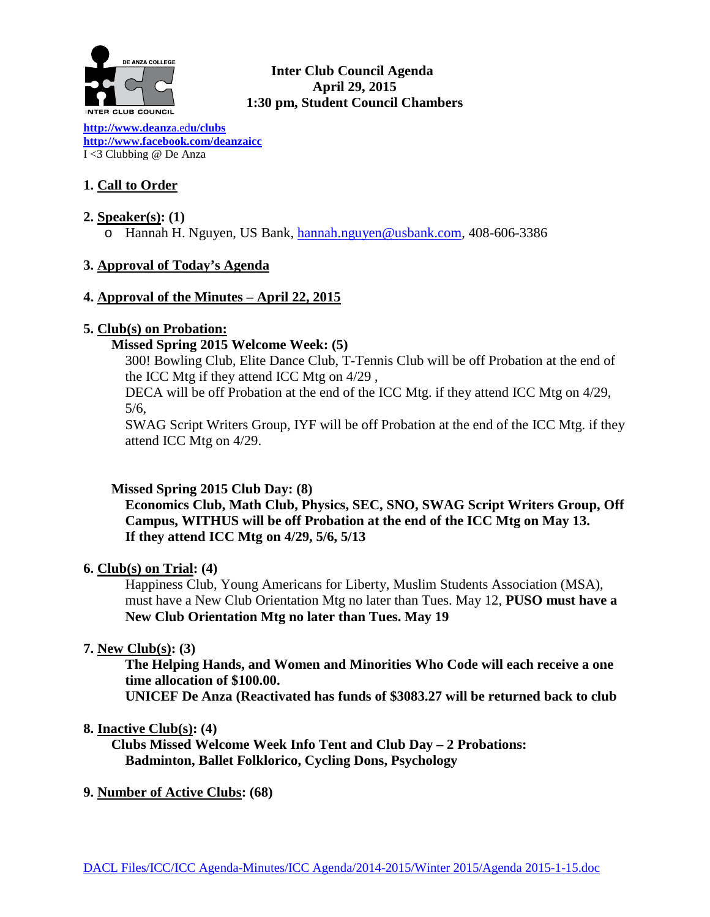

## **Inter Club Council Agenda April 29, 2015 1:30 pm, Student Council Chambers**

**[http://www.deanz](http://www.deanza.edu/clubs)**a.ed**u/clubs [http://www.facebook.com/deanzaicc](http://www.facebook.com/home.php%23!/group.php?gid=59034552686)** I <3 Clubbing @ De Anza

# **1. Call to Order**

- **2. Speaker(s): (1)**
	- o Hannah H. Nguyen, US Bank, [hannah.nguyen@usbank.com,](mailto:hannah.nguyen@usbank.com) 408-606-3386

# **3. Approval of Today's Agenda**

## **4. Approval of the Minutes – April 22, 2015**

## **5. Club(s) on Probation:**

## **Missed Spring 2015 Welcome Week: (5)**

300! Bowling Club, Elite Dance Club, T-Tennis Club will be off Probation at the end of the ICC Mtg if they attend ICC Mtg on 4/29 ,

DECA will be off Probation at the end of the ICC Mtg. if they attend ICC Mtg on 4/29, 5/6,

SWAG Script Writers Group, IYF will be off Probation at the end of the ICC Mtg. if they attend ICC Mtg on 4/29.

# **Missed Spring 2015 Club Day: (8)**

**Economics Club, Math Club, Physics, SEC, SNO, SWAG Script Writers Group, Off Campus, WITHUS will be off Probation at the end of the ICC Mtg on May 13. If they attend ICC Mtg on 4/29, 5/6, 5/13**

# **6. Club(s) on Trial: (4)**

Happiness Club, Young Americans for Liberty, Muslim Students Association (MSA), must have a New Club Orientation Mtg no later than Tues. May 12, **PUSO must have a New Club Orientation Mtg no later than Tues. May 19** 

# **7. New Club(s): (3)**

**The Helping Hands, and Women and Minorities Who Code will each receive a one time allocation of \$100.00.**

**UNICEF De Anza (Reactivated has funds of \$3083.27 will be returned back to club**

## **8. Inactive Club(s): (4)**

 **Clubs Missed Welcome Week Info Tent and Club Day – 2 Probations: Badminton, Ballet Folklorico, Cycling Dons, Psychology**

**9. Number of Active Clubs: (68)**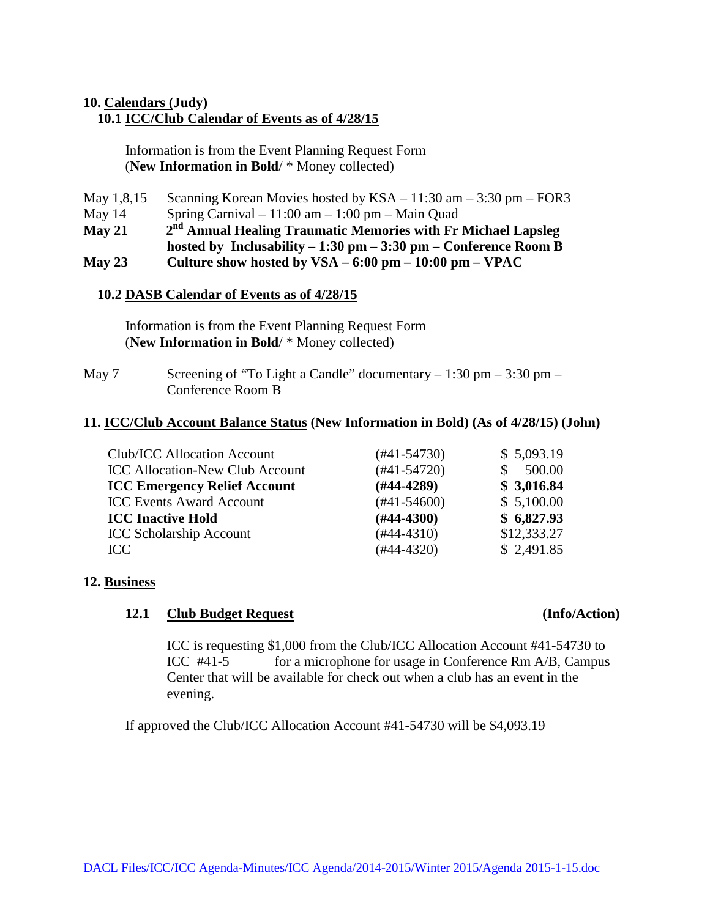## **10. Calendars (Judy)**

## **10.1 ICC/Club Calendar of Events as of 4/28/15**

 Information is from the Event Planning Request Form (**New Information in Bold**/ \* Money collected)

| May 1,8,15 | Scanning Korean Movies hosted by $KSA - 11:30$ am $- 3:30$ pm $-$ FOR3          |
|------------|---------------------------------------------------------------------------------|
| May $14$   | Spring Carnival $-11:00$ am $-1:00$ pm $-$ Main Quad                            |
| $M$ ay 21  | 2 <sup>nd</sup> Annual Healing Traumatic Memories with Fr Michael Lapsleg       |
|            | hosted by Inclusability $-1:30$ pm $-3:30$ pm $-$ Conference Room B             |
| May 23     | Culture show hosted by $VSA - 6:00 \text{ pm} - 10:00 \text{ pm} - \text{VPAC}$ |

### **10.2 DASB Calendar of Events as of 4/28/15**

Information is from the Event Planning Request Form (**New Information in Bold**/ \* Money collected)

May 7 Screening of "To Light a Candle" documentary  $-1:30$  pm  $-3:30$  pm  $-$ Conference Room B

#### **11. ICC/Club Account Balance Status (New Information in Bold) (As of 4/28/15) (John)**

| Club/ICC Allocation Account            | $(\#41 - 54730)$ | \$5,093.19  |
|----------------------------------------|------------------|-------------|
| <b>ICC Allocation-New Club Account</b> | $(#41-54720)$    | 500.00      |
| <b>ICC Emergency Relief Account</b>    | $(#44-4289)$     | \$3,016.84  |
| <b>ICC Events Award Account</b>        | $(\#41 - 54600)$ | \$5,100.00  |
| <b>ICC Inactive Hold</b>               | $(H44-4300)$     | \$6,827.93  |
| <b>ICC Scholarship Account</b>         | $(\#44 - 4310)$  | \$12,333.27 |
| ICC.                                   | $(#44-4320)$     | \$2,491.85  |

#### **12. Business**

### **12.1 Club Budget Request (Info/Action)**

ICC is requesting \$1,000 from the Club/ICC Allocation Account #41-54730 to ICC #41-5 for a microphone for usage in Conference Rm A/B, Campus Center that will be available for check out when a club has an event in the evening.

If approved the Club/ICC Allocation Account #41-54730 will be \$4,093.19